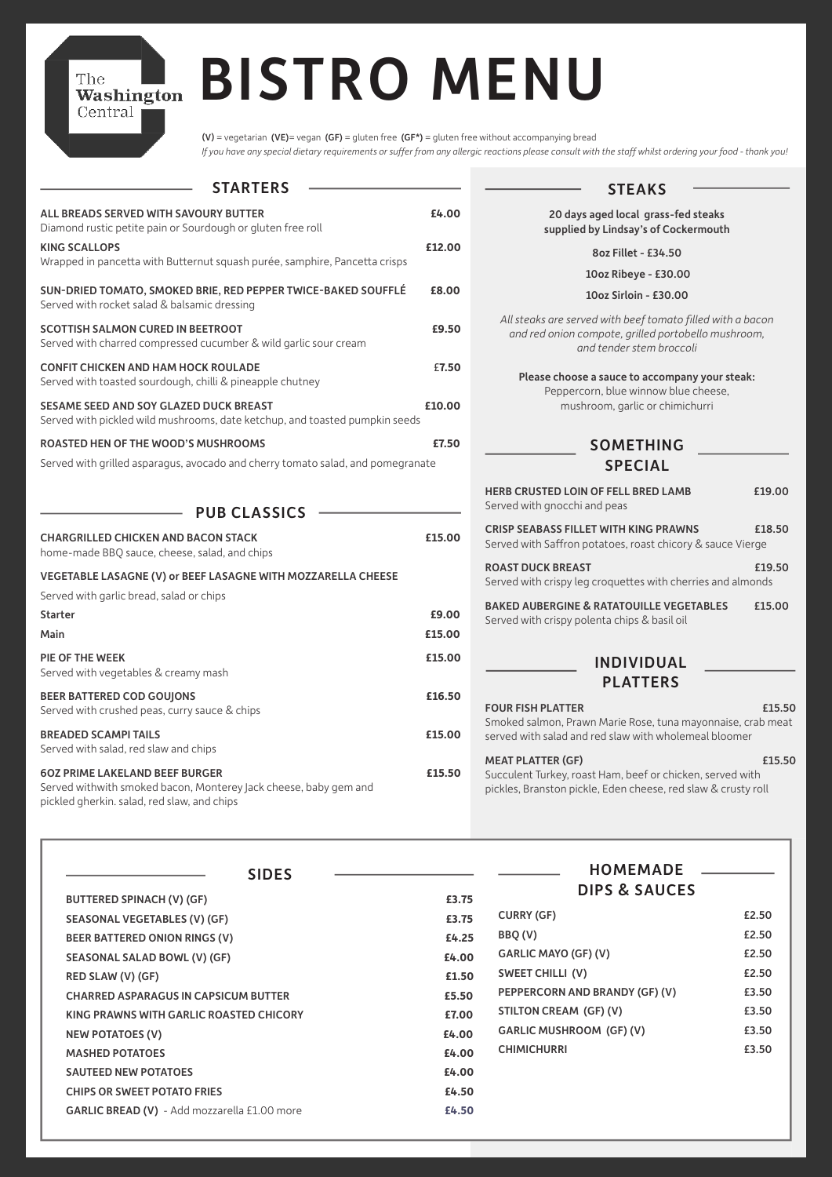| <b>STARTERS</b>                                                                                                                                          |        |
|----------------------------------------------------------------------------------------------------------------------------------------------------------|--------|
| ALL BREADS SERVED WITH SAVOURY BUTTER<br>Diamond rustic petite pain or Sourdough or gluten free roll                                                     | £4.00  |
| <b>KING SCALLOPS</b><br>Wrapped in pancetta with Butternut squash purée, samphire, Pancetta crisps                                                       | £12.00 |
| SUN-DRIED TOMATO, SMOKED BRIE, RED PEPPER TWICE-BAKED SOUFFLÉ<br>Served with rocket salad & balsamic dressing                                            | £8.00  |
| <b>SCOTTISH SALMON CURED IN BEETROOT</b><br>Served with charred compressed cucumber & wild garlic sour cream                                             | £9.50  |
| <b>CONFIT CHICKEN AND HAM HOCK ROULADE</b><br>Served with toasted sourdough, chilli & pineapple chutney                                                  | £7.50  |
| <b>SESAME SEED AND SOY GLAZED DUCK BREAST</b><br>Served with pickled wild mushrooms, date ketchup, and toasted pumpkin seeds                             | £10.00 |
| <b>ROASTED HEN OF THE WOOD'S MUSHROOMS</b>                                                                                                               | £7.50  |
| Served with grilled asparagus, avocado and cherry tomato salad, and pomegranate                                                                          |        |
| <b>PUB CLASSICS</b><br><b>CHARGRILLED CHICKEN AND BACON STACK</b><br>home-made BBQ sauce, cheese, salad, and chips                                       | £15.00 |
| VEGETABLE LASAGNE (V) or BEEF LASAGNE WITH MOZZARELLA CHEESE<br>Served with garlic bread, salad or chips                                                 |        |
| <b>Starter</b>                                                                                                                                           | £9.00  |
| Main                                                                                                                                                     | £15.00 |
| <b>PIE OF THE WEEK</b><br>Served with vegetables & creamy mash                                                                                           | £15.00 |
| <b>BEER BATTERED COD GOUJONS</b><br>Served with crushed peas, curry sauce & chips                                                                        | £16.50 |
| <b>BREADED SCAMPITAILS</b><br>Served with salad, red slaw and chips                                                                                      | £15.00 |
| <b>60Z PRIME LAKELAND BEEF BURGER</b><br>Served withwith smoked bacon, Monterey Jack cheese, baby gem and<br>pickled gherkin. salad, red slaw, and chips | £15.50 |
|                                                                                                                                                          |        |

The

| <b>BUTTERED SPINACH (V) (GF)</b>             | £3.75 |
|----------------------------------------------|-------|
| <b>SEASONAL VEGETABLES (V) (GF)</b>          | £3.75 |
| <b>BEER BATTERED ONION RINGS (V)</b>         | £4.25 |
| <b>SEASONAL SALAD BOWL (V) (GF)</b>          | £4.00 |
| RED SLAW (V) (GF)                            | £1.50 |
| <b>CHARRED ASPARAGUS IN CAPSICUM BUTTER</b>  | £5.50 |
| KING PRAWNS WITH GARLIC ROASTED CHICORY      | £7.00 |
| <b>NEW POTATOES (V)</b>                      | £4.00 |
| <b>MASHED POTATOES</b>                       | £4.00 |
| <b>SAUTEED NEW POTATOES</b>                  | £4.00 |
| <b>CHIPS OR SWEET POTATO FRIES</b>           | £4.50 |
| GARLIC BREAD (V) - Add mozzarella £1.00 more | £4.50 |

# BISTRO MENU The<br>Washington<br>Central

(V) = vegetarian (VE)= vegan (GF) = gluten free (GF\*) = gluten free without accompanying bread *If you have any special dietary requirements or suffer from any allergic reactions please consult with the staff whilst ordering your food - thank you!*

| <b>STEAKS</b>                                                                                                                                          |        |
|--------------------------------------------------------------------------------------------------------------------------------------------------------|--------|
| 20 days aged local grass-fed steaks<br>supplied by Lindsay's of Cockermouth                                                                            |        |
| 8oz Fillet - £34.50                                                                                                                                    |        |
| 10oz Ribeye - £30.00                                                                                                                                   |        |
| 10oz Sirloin - £30.00                                                                                                                                  |        |
| All steaks are served with beef tomato filled with a bacon<br>and red onion compote, grilled portobello mushroom,<br>and tender stem broccoli          |        |
| Please choose a sauce to accompany your steak:<br>Peppercorn, blue winnow blue cheese,<br>mushroom, garlic or chimichurri                              |        |
| <b>SOMETHING</b><br><b>SPECIAL</b>                                                                                                                     |        |
| <b>HERB CRUSTED LOIN OF FELL BRED LAMB</b><br>Served with gnocchi and peas                                                                             | £19.00 |
| <b>CRISP SEABASS FILLET WITH KING PRAWNS</b><br>Served with Saffron potatoes, roast chicory & sauce Vierge                                             | £18.50 |
| <b>ROAST DUCK BREAST</b><br>Served with crispy leg croquettes with cherries and almonds                                                                | £19.50 |
| <b>BAKED AUBERGINE &amp; RATATOUILLE VEGETABLES</b><br>Served with crispy polenta chips & basil oil                                                    | £15.00 |
| <b>INDIVIDUAL</b><br><b>PLATTERS</b>                                                                                                                   |        |
| <b>FOUR FISH PLATTER</b><br>Smoked salmon, Prawn Marie Rose, tuna mayonnaise, crab meat<br>served with salad and red slaw with wholemeal bloomer       | £15.50 |
| <b>MEAT PLATTER (GF)</b><br>Succulent Turkey, roast Ham, beef or chicken, served with<br>pickles, Branston pickle, Eden cheese, red slaw & crusty roll | £15.50 |
|                                                                                                                                                        |        |

SIDES

HOMEMADE

|      | <b>DIPS &amp; SAUCES</b>        |       |
|------|---------------------------------|-------|
| 3.75 |                                 |       |
| 3.75 | <b>CURRY (GF)</b>               | £2.50 |
| 4.25 | BBQ (V)                         | £2.50 |
| 4.00 | <b>GARLIC MAYO (GF) (V)</b>     | £2.50 |
| 1.50 | <b>SWEET CHILLI (V)</b>         | £2.50 |
| 5.50 | PEPPERCORN AND BRANDY (GF) (V)  | £3.50 |
| 7.00 | STILTON CREAM (GF) (V)          | £3.50 |
| 4.00 | <b>GARLIC MUSHROOM (GF) (V)</b> | £3.50 |
| 4.00 | <b>CHIMICHURRI</b>              | £3.50 |
| 4.00 |                                 |       |
| 4.50 |                                 |       |
| 4.50 |                                 |       |
|      |                                 |       |